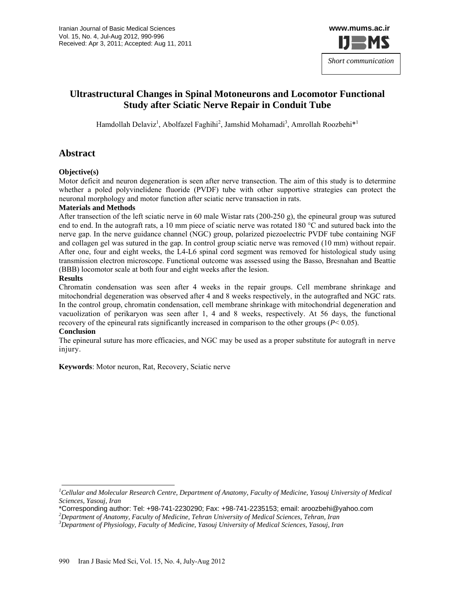

# **Ultrastructural Changes in Spinal Motoneurons and Locomotor Functional Study after Sciatic Nerve Repair in Conduit Tube**

Hamdollah Delaviz<sup>1</sup>, Abolfazel Faghihi<sup>2</sup>, Jamshid Mohamadi<sup>3</sup>, Amrollah Roozbehi<sup>\*1</sup>

# **Abstract**

#### **Objective(s)**

Motor deficit and neuron degeneration is seen after nerve transection. The aim of this study is to determine whether a poled polyvinelidene fluoride (PVDF) tube with other supportive strategies can protect the neuronal morphology and motor function after sciatic nerve transaction in rats.

#### **Materials and Methods**

After transection of the left sciatic nerve in 60 male Wistar rats (200-250 g), the epineural group was sutured end to end. In the autograft rats, a 10 mm piece of sciatic nerve was rotated 180 °C and sutured back into the nerve gap. In the nerve guidance channel (NGC) group, polarized piezoelectric PVDF tube containing NGF and collagen gel was sutured in the gap. In control group sciatic nerve was removed (10 mm) without repair. After one, four and eight weeks, the L4-L6 spinal cord segment was removed for histological study using transmission electron microscope. Functional outcome was assessed using the Basso, Bresnahan and Beattie (BBB) locomotor scale at both four and eight weeks after the lesion.

#### **Results**

Chromatin condensation was seen after 4 weeks in the repair groups. Cell membrane shrinkage and mitochondrial degeneration was observed after 4 and 8 weeks respectively, in the autografted and NGC rats. In the control group, chromatin condensation, cell membrane shrinkage with mitochondrial degeneration and vacuolization of perikaryon was seen after 1, 4 and 8 weeks, respectively. At 56 days, the functional recovery of the epineural rats significantly increased in comparison to the other groups  $(P< 0.05)$ .

#### **Conclusion**

The epineural suture has more efficacies, and NGC may be used as a proper substitute for autograft in nerve injury.

**Keywords**: Motor neuron, Rat, Recovery, Sciatic nerve

<sup>&</sup>lt;sup>1</sup> Cellular and Molecular Research Centre, Department of Anatomy, Faculty of Medicine, Yasouj University of Medical *Sciences, Yasouj, Iran* 

<sup>\*</sup>Corresponding author: Tel: +98-741-2230290; Fax: +98-741-2235153; email: aroozbehi@yahoo.com *<sup>2</sup>*

*Department of Anatomy, Faculty of Medicine, Tehran University of Medical Sciences, Tehran, Iran* 

*<sup>3</sup> Department of Physiology, Faculty of Medicine, Yasouj University of Medical Sciences, Yasouj, Iran*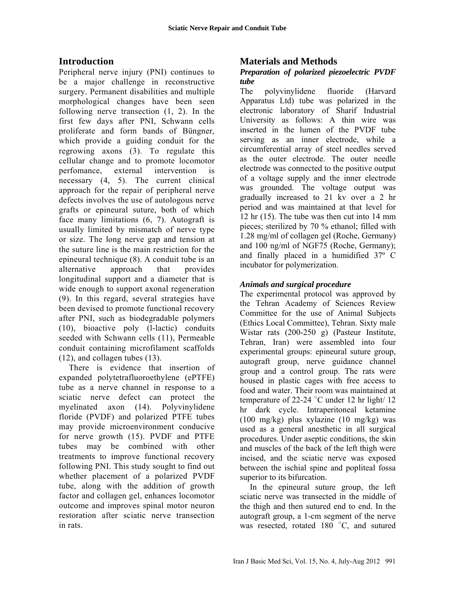# **Introduction**

Peripheral nerve injury (PNI) continues to be a major challenge in reconstructive surgery. Permanent disabilities and multiple morphological changes have been seen following nerve transection (1, 2). In the first few days after PNI, Schwann cells proliferate and form bands of Büngner, which provide a guiding conduit for the regrowing axons (3). To regulate this cellular change and to promote locomotor perfomance, external intervention is necessary (4, 5). The current clinical approach for the repair of peripheral nerve defects involves the use of autologous nerve grafts or epineural suture, both of which face many limitations (6, 7). Autograft is usually limited by mismatch of nerve type or size. The long nerve gap and tension at the suture line is the main restriction for the epineural technique (8). A conduit tube is an alternative approach that provides longitudinal support and a diameter that is wide enough to support axonal regeneration (9). In this regard, several strategies have been devised to promote functional recovery after PNI, such as biodegradable polymers (10), bioactive poly (l-lactic) conduits seeded with Schwann cells (11), Permeable conduit containing microfilament scaffolds (12), and collagen tubes (13).

There is evidence that insertion of expanded polytetrafluoroethylene (ePTFE) tube as a nerve channel in response to a sciatic nerve defect can protect the myelinated axon (14). Polyvinylidene floride (PVDF) and polarized PTFE tubes may provide microenvironment conducive for nerve growth (15). PVDF and PTFE tubes may be combined with other treatments to improve functional recovery following PNI. This study sought to find out whether placement of a polarized PVDF tube, along with the addition of growth factor and collagen gel, enhances locomotor outcome and improves spinal motor neuron restoration after sciatic nerve transection in rats.

# **Materials and Methods**

## *Preparation of polarized piezoelectric PVDF tube*

The polyvinylidene fluoride (Harvard Apparatus Ltd) tube was polarized in the electronic laboratory of Sharif Industrial University as follows: A thin wire was inserted in the lumen of the PVDF tube serving as an inner electrode, while a circumferential array of steel needles served as the outer electrode. The outer needle electrode was connected to the positive output of a voltage supply and the inner electrode was grounded. The voltage output was gradually increased to 21 kv over a 2 hr period and was maintained at that level for 12 hr (15). The tube was then cut into 14 mm pieces; sterilized by 70 % ethanol; filled with 1.28 mg/ml of collagen gel (Roche, Germany) and 100 ng/ml of NGF75 (Roche, Germany); and finally placed in a humidified 37º C incubator for polymerization.

## *Animals and surgical procedure*

The experimental protocol was approved by the Tehran Academy of Sciences Review Committee for the use of Animal Subjects (Ethics Local Committee), Tehran. Sixty male Wistar rats (200-250 g) (Pasteur Institute, Tehran, Iran) were assembled into four experimental groups: epineural suture group, autograft group, nerve guidance channel group and a control group. The rats were housed in plastic cages with free access to food and water. Their room was maintained at temperature of 22-24  $^{\circ}$ C under 12 hr light/ 12 hr dark cycle. Intraperitoneal ketamine (100 mg/kg) plus xylazine (10 mg/kg) was used as a general anesthetic in all surgical procedures. Under aseptic conditions, the skin and muscles of the back of the left thigh were incised, and the sciatic nerve was exposed between the ischial spine and popliteal fossa superior to its bifurcation.

In the epineural suture group, the left sciatic nerve was transected in the middle of the thigh and then sutured end to end. In the autograft group, a 1-cm segment of the nerve was resected, rotated  $180^{\circ}$ C, and sutured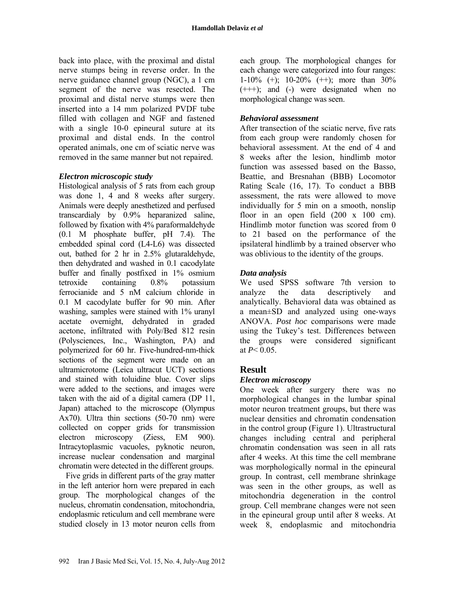back into place, with the proximal and distal nerve stumps being in reverse order. In the nerve guidance channel group (NGC), a 1 cm segment of the nerve was resected. The proximal and distal nerve stumps were then inserted into a 14 mm polarized PVDF tube filled with collagen and NGF and fastened with a single 10-0 epineural suture at its proximal and distal ends. In the control operated animals, one cm of sciatic nerve was removed in the same manner but not repaired.

### *Electron microscopic study*

Histological analysis of 5 rats from each group was done 1, 4 and 8 weeks after surgery. Animals were deeply anesthetized and perfused transcardialy by 0.9% heparanized saline, followed by fixation with 4% paraformaldehyde (0.1 M phosphate buffer, pH 7.4). The embedded spinal cord (L4-L6) was dissected out, bathed for 2 hr in 2.5% glutaraldehyde, then dehydrated and washed in 0.1 cacodylate buffer and finally postfixed in 1% osmium tetroxide containing 0.8% potassium ferrocianide and 5 nM calcium chloride in 0.1 M cacodylate buffer for 90 min. After washing, samples were stained with 1% uranyl acetate overnight, dehydrated in graded acetone, infiltrated with Poly/Bed 812 resin (Polysciences, Inc., Washington, PA) and polymerized for 60 hr. Five-hundred-nm-thick sections of the segment were made on an ultramicrotome (Leica ultracut UCT) sections and stained with toluidine blue. Cover slips were added to the sections, and images were taken with the aid of a digital camera (DP 11, Japan) attached to the microscope (Olympus Ax70). Ultra thin sections (50-70 nm) were collected on copper grids for transmission electron microscopy (Ziess, EM 900). Intracytoplasmic vacuoles, pyknotic neuron, increase nuclear condensation and marginal chromatin were detected in the different groups.

 Five grids in different parts of the gray matter in the left anterior horn were prepared in each group. The morphological changes of the nucleus, chromatin condensation, mitochondria, endoplasmic reticulum and cell membrane were studied closely in 13 motor neuron cells from

each group. The morphological changes for each change were categorized into four ranges: 1-10% (+); 10-20% (++); more than 30%  $(++)$ ; and  $(-)$  were designated when no morphological change was seen.

## *Behavioral assessment*

After transection of the sciatic nerve, five rats from each group were randomly chosen for behavioral assessment. At the end of 4 and 8 weeks after the lesion, hindlimb motor function was assessed based on the Basso, Beattie, and Bresnahan (BBB) Locomotor Rating Scale (16, 17). To conduct a BBB assessment, the rats were allowed to move individually for 5 min on a smooth, nonslip floor in an open field  $(200 \times 100 \text{ cm})$ . Hindlimb motor function was scored from 0 to 21 based on the performance of the ipsilateral hindlimb by a trained observer who was oblivious to the identity of the groups.

# *Data analysis*

We used SPSS software 7th version to analyze the data descriptively and analytically. Behavioral data was obtained as a mean±SD and analyzed using one-ways ANOVA. *Post hoc* comparisons were made using the Tukey's test. Differences between the groups were considered significant at  $P < 0.05$ .

# **Result**

## *Electron microscopy*

One week after surgery there was no morphological changes in the lumbar spinal motor neuron treatment groups, but there was nuclear densities and chromatin condensation in the control group (Figure 1). Ultrastructural changes including central and peripheral chromatin condensation was seen in all rats after 4 weeks. At this time the cell membrane was morphologically normal in the epineural group. In contrast, cell membrane shrinkage was seen in the other groups, as well as mitochondria degeneration in the control group. Cell membrane changes were not seen in the epineural group until after 8 weeks. At week 8, endoplasmic and mitochondria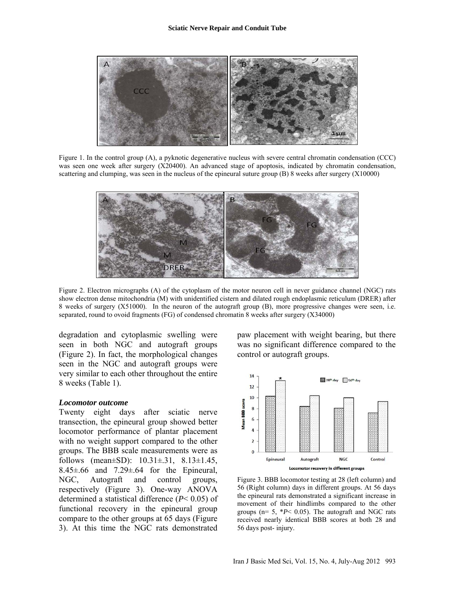

Figure 1. In the control group (A), a pyknotic degenerative nucleus with severe central chromatin condensation (CCC) was seen one week after surgery (X20400). An advanced stage of apoptosis, indicated by chromatin condensation, scattering and clumping, was seen in the nucleus of the epineural suture group (B) 8 weeks after surgery (X10000)



Figure 2. Electron micrographs (A) of the cytoplasm of the motor neuron cell in never guidance channel (NGC) rats show electron dense mitochondria (M) with unidentified cistern and dilated rough endoplasmic reticulum (DRER) after 8 weeks of surgery (X51000). In the neuron of the autograft group (B), more progressive changes were seen, i.e. separated, round to ovoid fragments (FG) of condensed chromatin 8 weeks after surgery (X34000)

degradation and cytoplasmic swelling were seen in both NGC and autograft groups (Figure 2). In fact, the morphological changes seen in the NGC and autograft groups were very similar to each other throughout the entire 8 weeks (Table 1).

#### *Locomotor outcome*

Twenty eight days after sciatic nerve transection, the epineural group showed better locomotor performance of plantar placement with no weight support compared to the other groups. The BBB scale measurements were as follows (mean $\pm$ SD): 10.31 $\pm$ .31, 8.13 $\pm$ 1.45,  $8.45\pm.66$  and  $7.29\pm.64$  for the Epineural, NGC, Autograft and control groups, respectively (Figure 3). One-way ANOVA determined a statistical difference (*P*< 0.05) of functional recovery in the epineural group compare to the other groups at 65 days (Figure 3). At this time the NGC rats demonstrated

paw placement with weight bearing, but there was no significant difference compared to the control or autograft groups.



Figure 3. BBB locomotor testing at 28 (left column) and 56 (Right column) days in different groups. At 56 days the epineural rats demonstrated a significant increase in movement of their hindlimbs compared to the other groups ( $n= 5$ ,  $*P< 0.05$ ). The autograft and NGC rats received nearly identical BBB scores at both 28 and 56 days post- injury.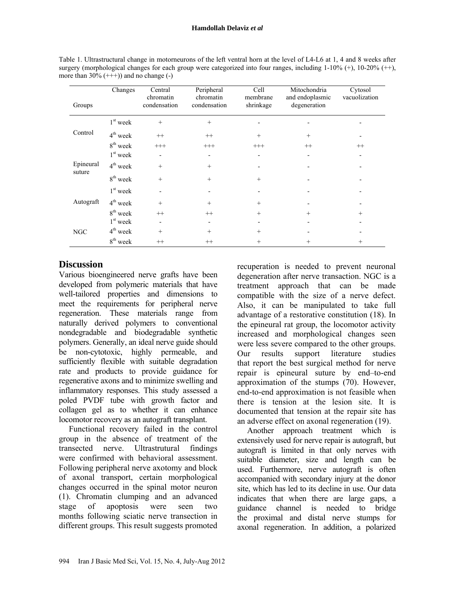| Table 1. Ultrastructural change in motorneurons of the left ventral horn at the level of L4-L6 at 1, 4 and 8 weeks after |
|--------------------------------------------------------------------------------------------------------------------------|
| surgery (morphological changes for each group were categorized into four ranges, including $1-10\%$ (+), $10-20\%$ (++), |
| more than $30\%$ (+++)) and no change (-)                                                                                |

|                     | Changes              | Central<br>chromatin | Peripheral<br>chromatin | Cell<br>membrane | Mitochondria<br>and endoplasmic | Cytosol<br>vacuolization |
|---------------------|----------------------|----------------------|-------------------------|------------------|---------------------------------|--------------------------|
| Groups              |                      | condensation         | condensation            | shrinkage        | degeneration                    |                          |
| Control             | $1st$ week           | $^{+}$               | $+$                     |                  |                                 |                          |
|                     | $4^{\text{th}}$ week | $++$                 | $^{++}$                 | $+$              | $^{+}$                          |                          |
|                     | $8th$ week           | $^{+++}$             | $^{+++}$                | $^{+++}$         | $^{++}$                         | $^{++}$                  |
| Epineural<br>suture | $1st$ week           |                      |                         |                  |                                 |                          |
|                     | $4^{\text{th}}$ week | $^{+}$               | $+$                     |                  |                                 |                          |
|                     | $8^{\rm th}$ week    | $^{+}$               | $+$                     | $+$              |                                 |                          |
| Autograft           | $1st$ week           |                      |                         |                  |                                 |                          |
|                     | $4th$ week           | $^{+}$               | $+$                     | $^{+}$           |                                 |                          |
|                     | 8 <sup>th</sup> week | $^{++}$              | $^{++}$                 | $+$              | $^{+}$                          | $^{+}$                   |
| <b>NGC</b>          | $1st$ week           |                      |                         |                  |                                 |                          |
|                     | $4th$ week           | $^{+}$               | $+$                     | $+$              |                                 |                          |
|                     | $8^{\rm th}$ week    | $^{++}$              | $^{++}$                 | $^+$             | ┿                               | $^{+}$                   |

# **Discussion**

Various bioengineered nerve grafts have been developed from polymeric materials that have well-tailored properties and dimensions to meet the requirements for peripheral nerve regeneration. These materials range from naturally derived polymers to conventional nondegradable and biodegradable synthetic polymers. Generally, an ideal nerve guide should be non-cytotoxic, highly permeable, and sufficiently flexible with suitable degradation rate and products to provide guidance for regenerative axons and to minimize swelling and inflammatory responses. This study assessed a poled PVDF tube with growth factor and collagen gel as to whether it can enhance locomotor recovery as an autograft transplant.

Functional recovery failed in the control group in the absence of treatment of the transected nerve. Ultrastrutural findings were confirmed with behavioral assessment. Following peripheral nerve axotomy and block of axonal transport, certain morphological changes occurred in the spinal motor neuron (1). Chromatin clumping and an advanced stage of apoptosis were seen two months following sciatic nerve transection in different groups. This result suggests promoted

recuperation is needed to prevent neuronal degeneration after nerve transaction. NGC is a treatment approach that can be made compatible with the size of a nerve defect. Also, it can be manipulated to take full advantage of a restorative constitution (18). In the epineural rat group, the locomotor activity increased and morphological changes seen were less severe compared to the other groups. Our results support literature studies that report the best surgical method for nerve repair is epineural suture by end–to-end approximation of the stumps (70). However, end-to-end approximation is not feasible when there is tension at the lesion site. It is documented that tension at the repair site has an adverse effect on axonal regeneration (19).

Another approach treatment which is extensively used for nerve repair is autograft, but autograft is limited in that only nerves with suitable diameter, size and length can be used. Furthermore, nerve autograft is often accompanied with secondary injury at the donor site, which has led to its decline in use. Our data indicates that when there are large gaps, a guidance channel is needed to bridge the proximal and distal nerve stumps for axonal regeneration. In addition, a polarized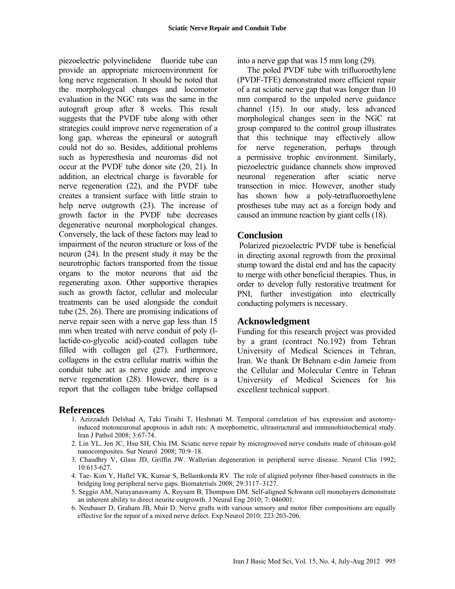piezoelectric polyvinelidene fluoride tube can provide an appropriate microenvironment for long nerve regeneration. It should be noted that the morphologycal changes and locomotor evaluation in the NGC rats was the same in the autograft group after 8 weeks. This result suggests that the PVDF tube along with other strategies could improve nerve regeneration of a long gap, whereas the epineural or autograft could not do so. Besides, additional problems such as hyperesthesia and neuromas did not occur at the PVDF tube donor site (20, 21). In addition, an electrical charge is favorable for nerve regeneration (22), and the PVDF tube creates a transient surface with little strain to help nerve outgrowth (23). The increase of growth factor in the PVDF tube decreases degenerative neuronal morphological changes. Conversely, the lack of these factors may lead to impairment of the neuron structure or loss of the neuron (24). In the present study it may be the neurotrophic factors transported from the tissue organs to the motor neurons that aid the regenerating axon. Other supportive therapies such as growth factor, cellular and molecular treatments can be used alongside the conduit tube (25, 26). There are promising indications of nerve repair seen with a nerve gap less than 15 mm when treated with nerve conduit of poly (llactide-co-glycolic acid)-coated collagen tube filled with collagen gel (27). Furthermore, collagens in the extra cellular matrix within the conduit tube act as nerve guide and improve nerve regeneration (28). However, there is a report that the collagen tube bridge collapsed

into a nerve gap that was 15 mm long (29).

The poled PVDF tube with trifluoroethylene (PVDF-TFE) demonstrated more efficient repair of a rat sciatic nerve gap that was longer than 10 mm compared to the unpoled nerve guidance channel (15). In our study, less advanced morphological changes seen in the NGC rat group compared to the control group illustrates that this technique may effectively allow for nerve regeneration, perhaps through a permissive trophic environment. Similarly, piezoelectric guidance channels show improved neuronal regeneration after sciatic nerve transection in mice. However, another study has shown how a poly-tetrafluoroethylene prostheses tube may act as a foreign body and caused an immune reaction by giant cells (18).

#### **Conclusion**

 Polarized piezoelectric PVDF tube is beneficial in directing axonal regrowth from the proximal stump toward the distal end and has the capacity to merge with other beneficial therapies. Thus, in order to develop fully restorative treatment for PNI, further investigation into electrically conducting polymers is necessary.

### **Acknowledgment**

Funding for this research project was provided by a grant (contract No.192) from Tehran University of Medical Sciences in Tehran, Iran. We thank Dr Behnam e-din Jameie from the Cellular and Molecular Centre in Tehran University of Medical Sciences for his excellent technical support.

### **References**

- 1. Azizzadeh Delshad A, Taki Tiraihi T, Heshmati M. Temporal correlation of bax expression and axotomyinduced motoneuronal apoptosis in adult rats: A morphometric, ultrastructural and immunohistochemical study. Iran J Pathol 2008; 3:67-74.
- 2. Lin YL, Jen JC, Hsu SH, Chiu IM. Sciatic nerve repair by microgrooved nerve conduits made of chitosan-gold nanocomposites. Sur Neurol 2008; 70:9–18.
- 3. Chaudhry V, Glass JD, Griffin JW. Wallerian degeneration in peripheral nerve disease. Neurol Clin 1992; 10:613-627.
- 4. Tae- Kim Y, Haftel VK, Kumar S, Bellamkonda RV. The role of aligned polymer fiber-based constructs in the bridging long peripheral nerve gaps. Biomaterials 2008; 29:3117–3127.
- 5. Seggio AM, Narayanaswamy A, Roysam B, Thompson DM. Self-aligned Schwann cell monolayers demonstrate an inherent ability to direct neurite outgrowth. J Neural Eng 2010; 7: 046001.
- 6. Neubauer D, Graham JB, Muir D. Nerve grafts with various sensory and motor fiber compositions are equally effective for the repair of a mixed nerve defect. Exp Neurol 2010; 223:203-206.